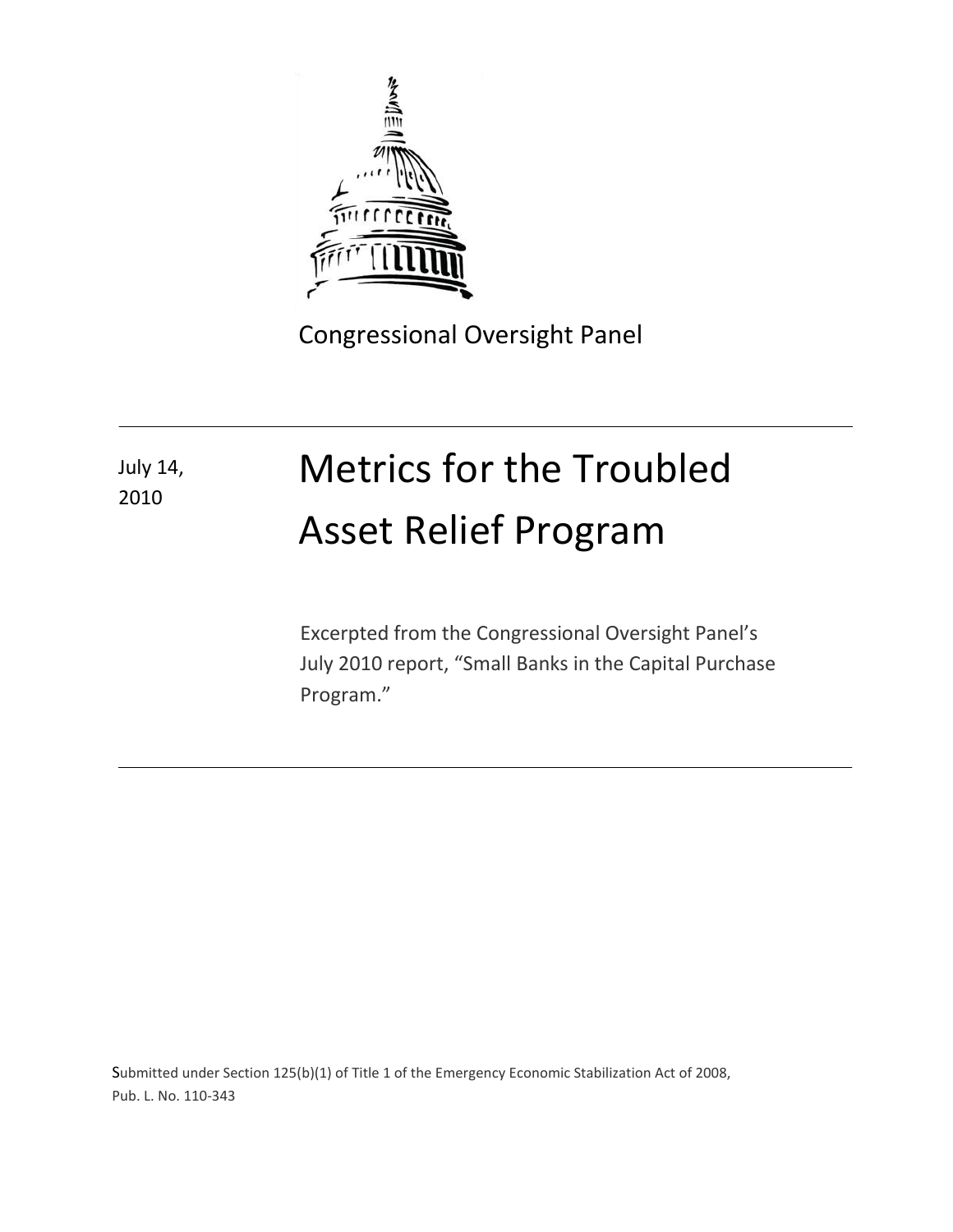

2010

Congressional Oversight Panel

# Metrics for the Troubled Asset Relief Program July 14,

Excerpted from the Congressional Oversight Panel's July 2010 report, "Small Banks in the Capital Purchase Program."

Submitted under Section 125(b)(1) of Title 1 of the Emergency Economic Stabilization Act of 2008, Pub. L. No. 110-343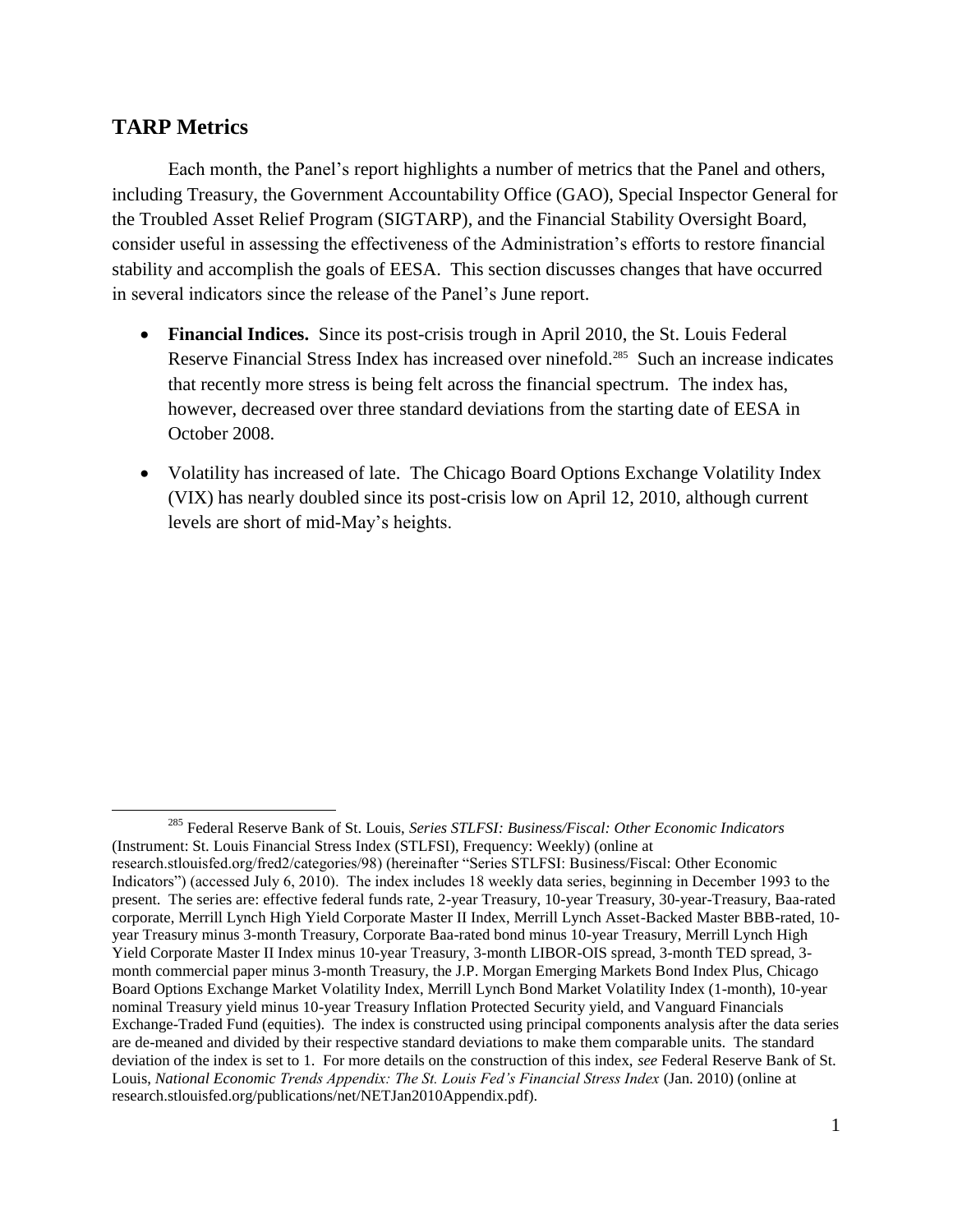## **TARP Metrics**

<span id="page-1-0"></span> $\overline{a}$ 

Each month, the Panel's report highlights a number of metrics that the Panel and others, including Treasury, the Government Accountability Office (GAO), Special Inspector General for the Troubled Asset Relief Program (SIGTARP), and the Financial Stability Oversight Board, consider useful in assessing the effectiveness of the Administration's efforts to restore financial stability and accomplish the goals of EESA. This section discusses changes that have occurred in several indicators since the release of the Panel's June report.

- <span id="page-1-1"></span> **Financial Indices.** Since its post-crisis trough in April 2010, the St. Louis Federal Reserve Financial Stress Index has increased over ninefold.<sup>285</sup> Such an increase indicates that recently more stress is being felt across the financial spectrum. The index has, however, decreased over three standard deviations from the starting date of EESA in October 2008.
- Volatility has increased of late. The Chicago Board Options Exchange Volatility Index (VIX) has nearly doubled since its post-crisis low on April 12, 2010, although current levels are short of mid-May's heights.

<sup>285</sup> Federal Reserve Bank of St. Louis, *Series STLFSI: Business/Fiscal: Other Economic Indicators*  (Instrument: St. Louis Financial Stress Index (STLFSI), Frequency: Weekly) (online at research.stlouisfed.org/fred2/categories/98) (hereinafter "Series STLFSI: Business/Fiscal: Other Economic Indicators") (accessed July 6, 2010). The index includes 18 weekly data series, beginning in December 1993 to the present. The series are: effective federal funds rate, 2-year Treasury, 10-year Treasury, 30-year-Treasury, Baa-rated corporate, Merrill Lynch High Yield Corporate Master II Index, Merrill Lynch Asset-Backed Master BBB-rated, 10 year Treasury minus 3-month Treasury, Corporate Baa-rated bond minus 10-year Treasury, Merrill Lynch High Yield Corporate Master II Index minus 10-year Treasury, 3-month LIBOR-OIS spread, 3-month TED spread, 3month commercial paper minus 3-month Treasury, the J.P. Morgan Emerging Markets Bond Index Plus, Chicago Board Options Exchange Market Volatility Index, Merrill Lynch Bond Market Volatility Index (1-month), 10-year nominal Treasury yield minus 10-year Treasury Inflation Protected Security yield, and Vanguard Financials Exchange-Traded Fund (equities). The index is constructed using principal components analysis after the data series are de-meaned and divided by their respective standard deviations to make them comparable units. The standard deviation of the index is set to 1. For more details on the construction of this index, *see* Federal Reserve Bank of St. Louis, *National Economic Trends Appendix: The St. Louis Fed's Financial Stress Index* (Jan. 2010) (online at research.stlouisfed.org/publications/net/NETJan2010Appendix.pdf).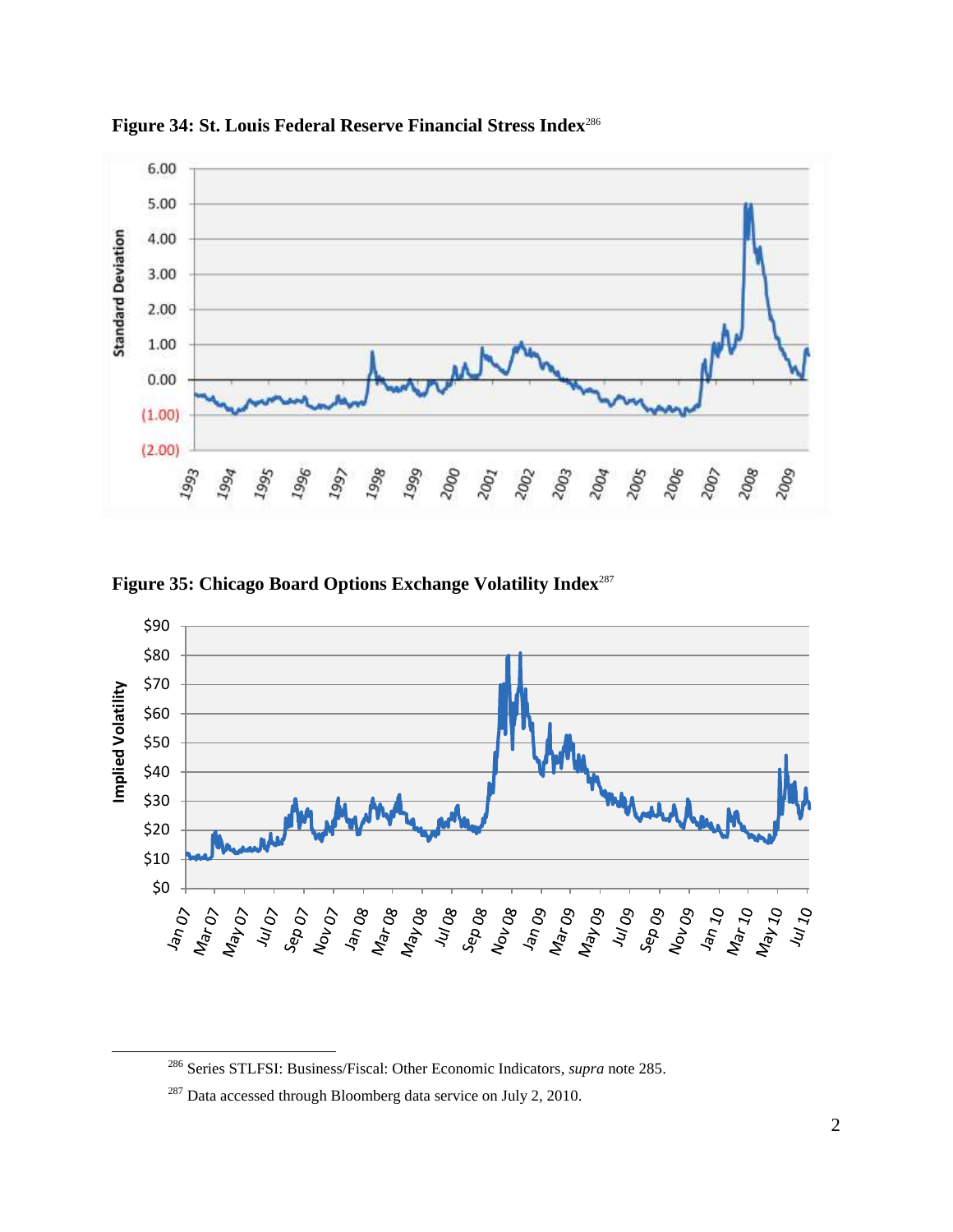

**Figure 34: St. Louis Federal Reserve Financial Stress Index**<sup>286</sup>

**Figure 35: Chicago Board Options Exchange Volatility Index**<sup>287</sup>



l

<sup>286</sup> [Series STLFSI: Business/Fiscal: Other Economic Indicators,](#page-1-0) *supra* not[e 285.](#page-1-1)

<sup>&</sup>lt;sup>287</sup> Data accessed through Bloomberg data service on July 2, 2010.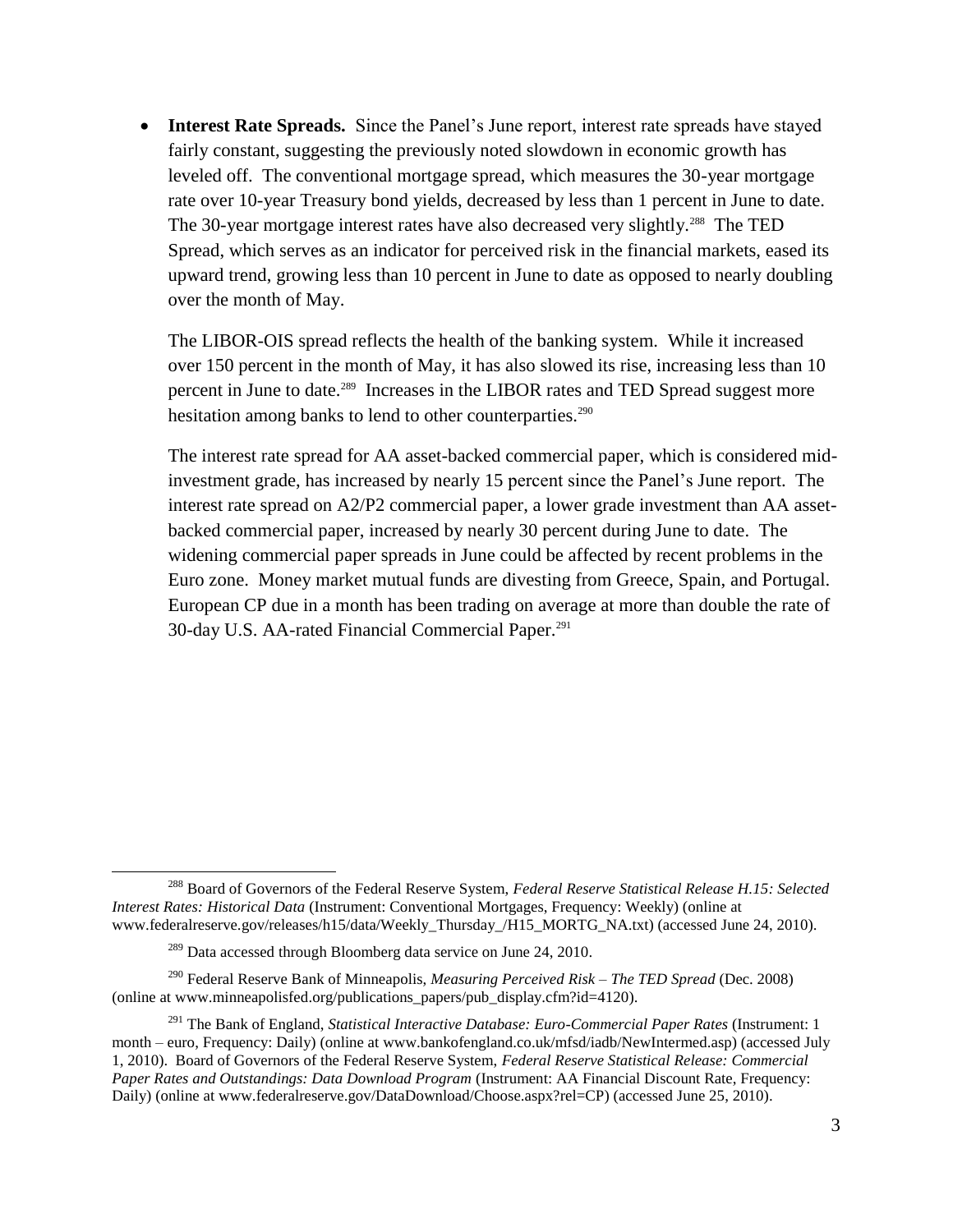• Interest Rate Spreads. Since the Panel's June report, interest rate spreads have stayed fairly constant, suggesting the previously noted slowdown in economic growth has leveled off. The conventional mortgage spread, which measures the 30-year mortgage rate over 10-year Treasury bond yields, decreased by less than 1 percent in June to date. The 30-year mortgage interest rates have also decreased very slightly.<sup>288</sup> The TED Spread, which serves as an indicator for perceived risk in the financial markets, eased its upward trend, growing less than 10 percent in June to date as opposed to nearly doubling over the month of May.

The LIBOR-OIS spread reflects the health of the banking system. While it increased over 150 percent in the month of May, it has also slowed its rise, increasing less than 10 percent in June to date.<sup>289</sup> Increases in the LIBOR rates and TED Spread suggest more hesitation among banks to lend to other counterparties.<sup>290</sup>

The interest rate spread for AA asset-backed commercial paper, which is considered midinvestment grade, has increased by nearly 15 percent since the Panel's June report. The interest rate spread on A2/P2 commercial paper, a lower grade investment than AA assetbacked commercial paper, increased by nearly 30 percent during June to date. The widening commercial paper spreads in June could be affected by recent problems in the Euro zone. Money market mutual funds are divesting from Greece, Spain, and Portugal. European CP due in a month has been trading on average at more than double the rate of 30-day U.S. AA-rated Financial Commercial Paper.<sup>291</sup>

l

<sup>288</sup> Board of Governors of the Federal Reserve System, *Federal Reserve Statistical Release H.15: Selected Interest Rates: Historical Data* (Instrument: Conventional Mortgages, Frequency: Weekly) (online at www.federalreserve.gov/releases/h15/data/Weekly\_Thursday\_/H15\_MORTG\_NA.txt) (accessed June 24, 2010).

 $^{289}$  Data accessed through Bloomberg data service on June 24, 2010.

<sup>290</sup> Federal Reserve Bank of Minneapolis, *Measuring Perceived Risk – The TED Spread* (Dec. 2008) (online at www.minneapolisfed.org/publications\_papers/pub\_display.cfm?id=4120).

<sup>&</sup>lt;sup>291</sup> The Bank of England, *Statistical Interactive Database: Euro-Commercial Paper Rates (Instrument: 1* month – euro, Frequency: Daily) (online at www.bankofengland.co.uk/mfsd/iadb/NewIntermed.asp) (accessed July 1, 2010). Board of Governors of the Federal Reserve System, *Federal Reserve Statistical Release: Commercial Paper Rates and Outstandings: Data Download Program* (Instrument: AA Financial Discount Rate, Frequency: Daily) (online at www.federalreserve.gov/DataDownload/Choose.aspx?rel=CP) (accessed June 25, 2010).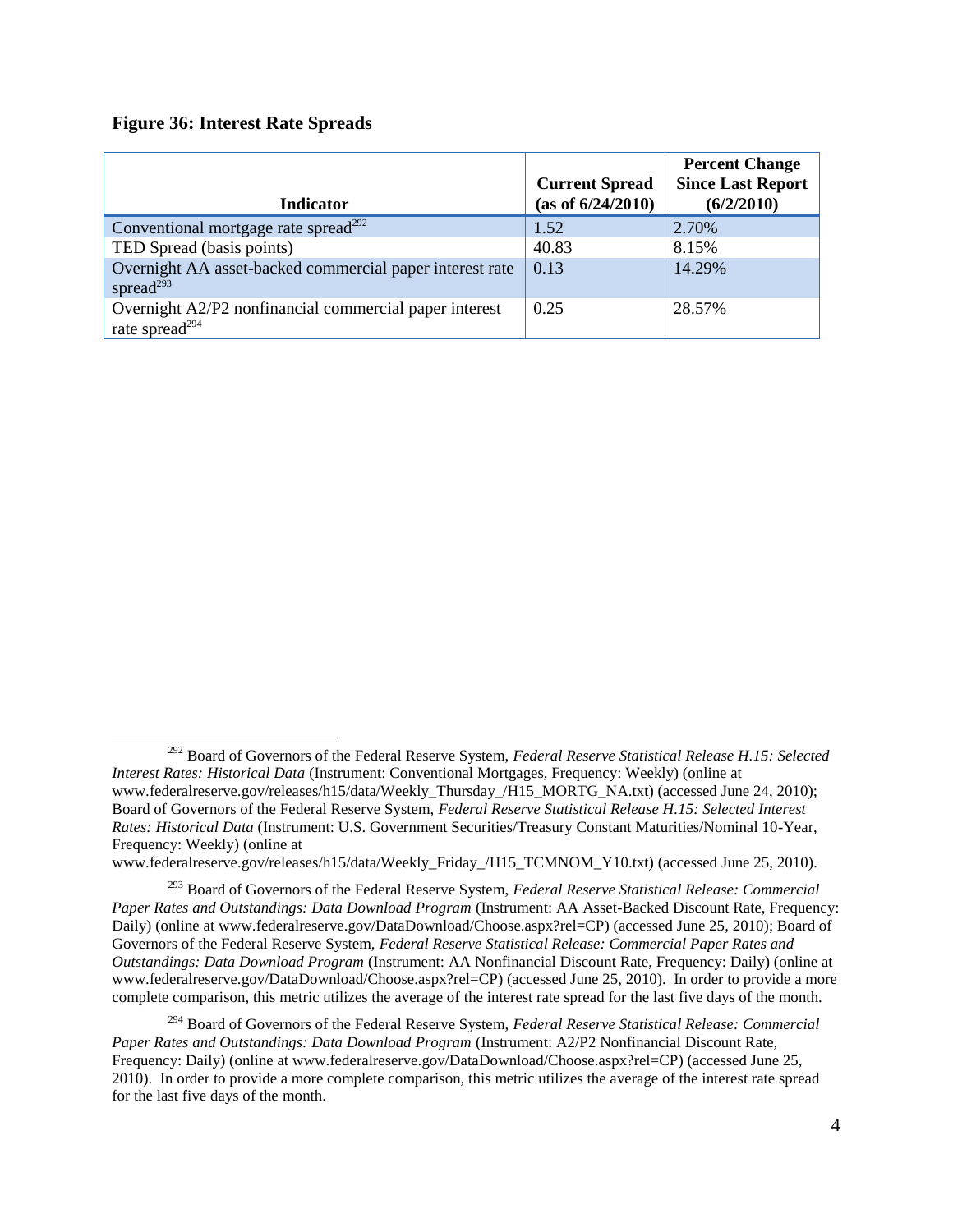#### **Figure 36: Interest Rate Spreads**

 $\overline{\phantom{a}}$ 

| <b>Indicator</b>                                                                     | <b>Current Spread</b><br>(as of 6/24/2010) | <b>Percent Change</b><br><b>Since Last Report</b><br>(6/2/2010) |
|--------------------------------------------------------------------------------------|--------------------------------------------|-----------------------------------------------------------------|
| Conventional mortgage rate spread <sup>292</sup>                                     | 1.52                                       | 2.70%                                                           |
| TED Spread (basis points)                                                            | 40.83                                      | 8.15%                                                           |
| Overnight AA asset-backed commercial paper interest rate<br>spread $^{293}$          | 0.13                                       | 14.29%                                                          |
| Overnight A2/P2 nonfinancial commercial paper interest<br>rate spread <sup>294</sup> | 0.25                                       | 28.57%                                                          |

www.federalreserve.gov/releases/h15/data/Weekly\_Friday\_/H15\_TCMNOM\_Y10.txt) (accessed June 25, 2010).

<sup>292</sup> Board of Governors of the Federal Reserve System, *Federal Reserve Statistical Release H.15: Selected Interest Rates: Historical Data* (Instrument: Conventional Mortgages, Frequency: Weekly) (online at www.federalreserve.gov/releases/h15/data/Weekly\_Thursday\_/H15\_MORTG\_NA.txt) (accessed June 24, 2010); Board of Governors of the Federal Reserve System, *Federal Reserve Statistical Release H.15: Selected Interest Rates: Historical Data* (Instrument: U.S. Government Securities/Treasury Constant Maturities/Nominal 10-Year, Frequency: Weekly) (online at

<sup>293</sup> Board of Governors of the Federal Reserve System, *Federal Reserve Statistical Release: Commercial Paper Rates and Outstandings: Data Download Program* (Instrument: AA Asset-Backed Discount Rate, Frequency: Daily) (online at www.federalreserve.gov/DataDownload/Choose.aspx?rel=CP) (accessed June 25, 2010); Board of Governors of the Federal Reserve System, *Federal Reserve Statistical Release: Commercial Paper Rates and Outstandings: Data Download Program* (Instrument: AA Nonfinancial Discount Rate, Frequency: Daily) (online at www.federalreserve.gov/DataDownload/Choose.aspx?rel=CP) (accessed June 25, 2010). In order to provide a more complete comparison, this metric utilizes the average of the interest rate spread for the last five days of the month.

<sup>294</sup> Board of Governors of the Federal Reserve System, *Federal Reserve Statistical Release: Commercial Paper Rates and Outstandings: Data Download Program* (Instrument: A2/P2 Nonfinancial Discount Rate, Frequency: Daily) (online at www.federalreserve.gov/DataDownload/Choose.aspx?rel=CP) (accessed June 25, 2010). In order to provide a more complete comparison, this metric utilizes the average of the interest rate spread for the last five days of the month.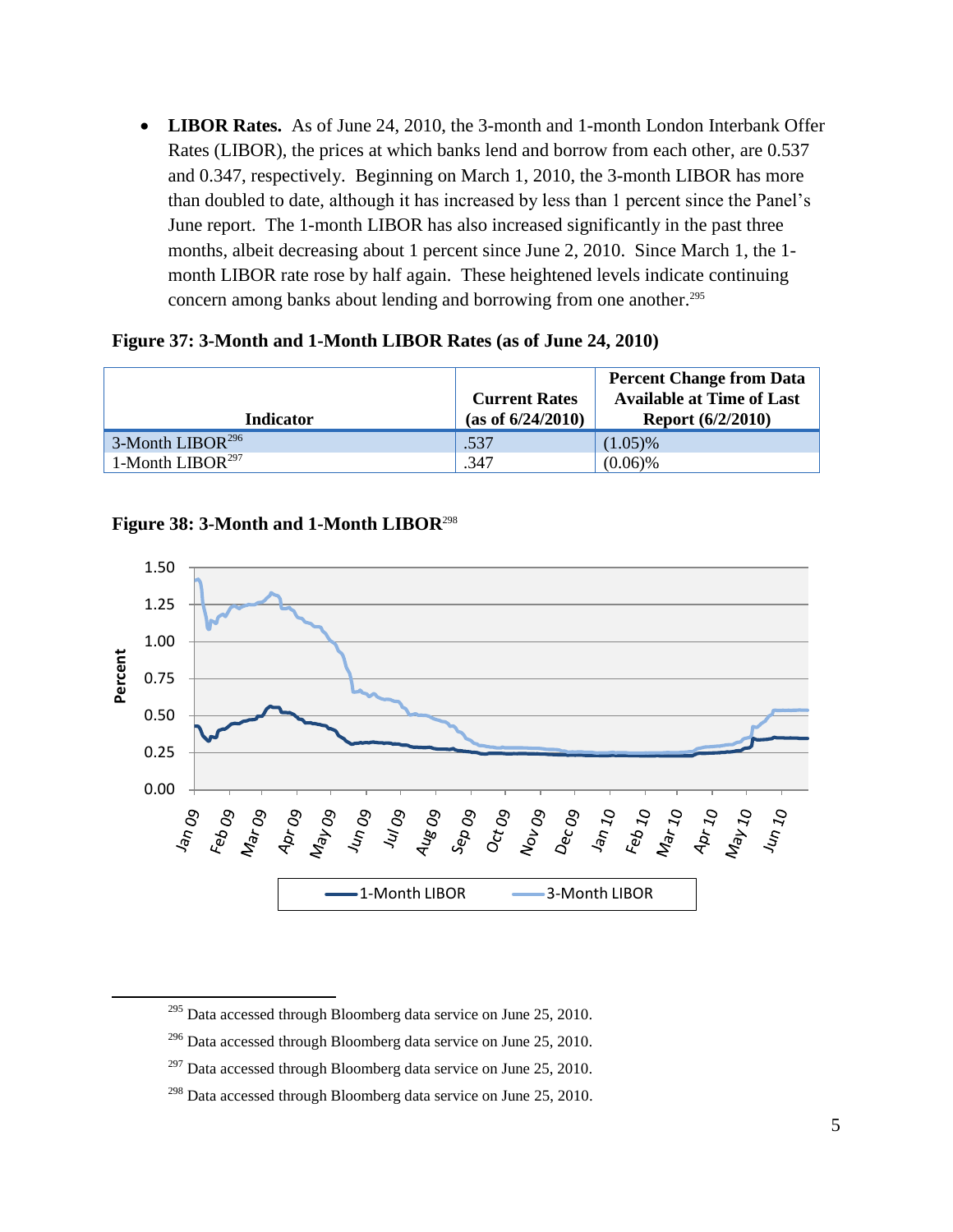**LIBOR Rates.** As of June 24, 2010, the 3-month and 1-month London Interbank Offer Rates (LIBOR), the prices at which banks lend and borrow from each other, are 0.537 and 0.347, respectively. Beginning on March 1, 2010, the 3-month LIBOR has more than doubled to date, although it has increased by less than 1 percent since the Panel's June report. The 1-month LIBOR has also increased significantly in the past three months, albeit decreasing about 1 percent since June 2, 2010. Since March 1, the 1 month LIBOR rate rose by half again. These heightened levels indicate continuing concern among banks about lending and borrowing from one another.<sup>295</sup>

#### **Figure 37: 3-Month and 1-Month LIBOR Rates (as of June 24, 2010)**

|                              | <b>Current Rates</b> | <b>Percent Change from Data</b><br><b>Available at Time of Last</b> |
|------------------------------|----------------------|---------------------------------------------------------------------|
| Indicator                    | (as of 6/24/2010)    | <b>Report (6/2/2010)</b>                                            |
| 3-Month LIBOR <sup>296</sup> | .537                 | $(1.05)\%$                                                          |
| 1-Month LIBOR <sup>297</sup> | .347                 | $(0.06)\%$                                                          |

### **Figure 38: 3-Month and 1-Month LIBOR**<sup>298</sup>

 $\overline{a}$ 



<sup>295</sup> Data accessed through Bloomberg data service on June 25, 2010.

 $296$  Data accessed through Bloomberg data service on June 25, 2010.

 $297$  Data accessed through Bloomberg data service on June 25, 2010.

 $298$  Data accessed through Bloomberg data service on June 25, 2010.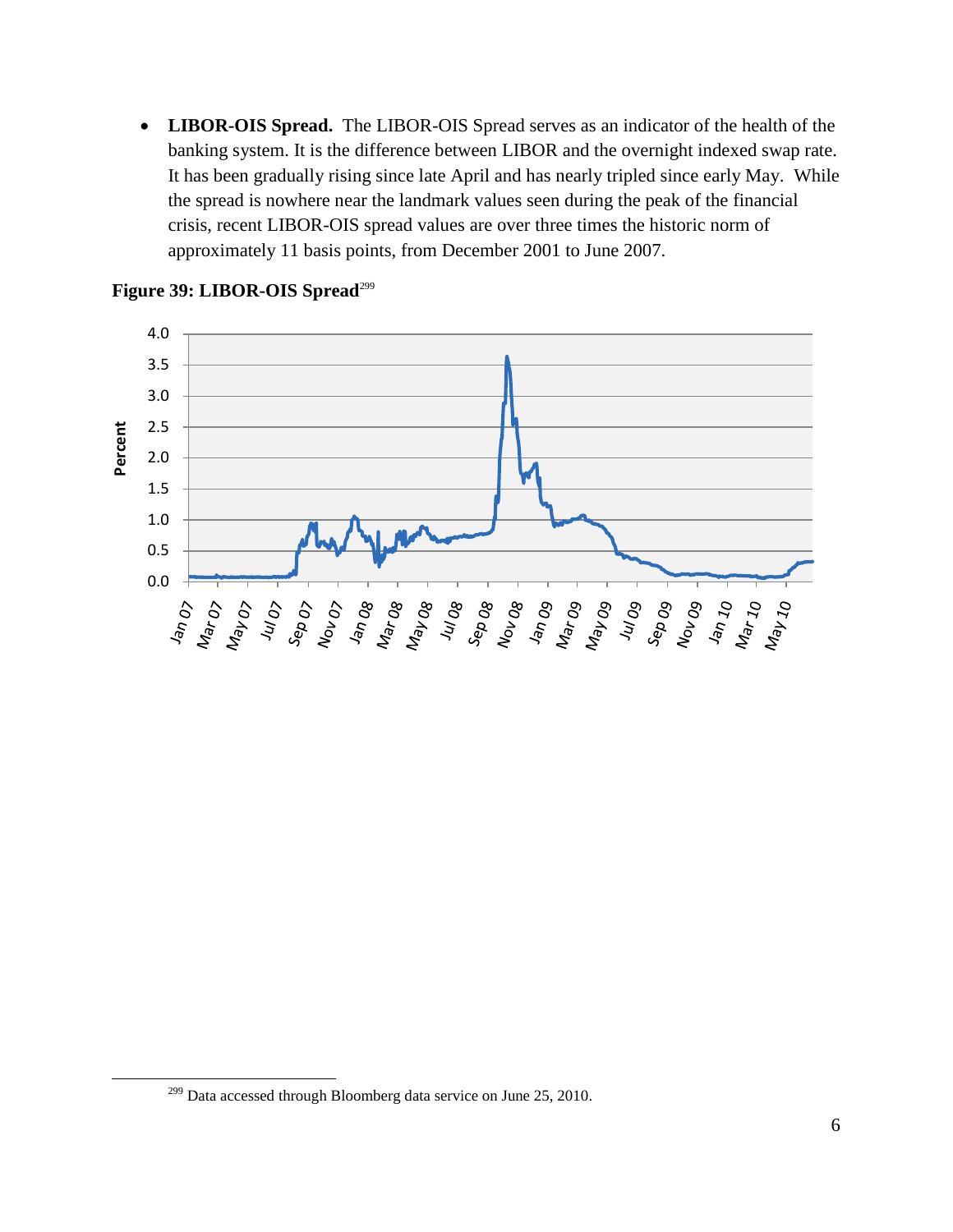**LIBOR-OIS Spread.** The LIBOR-OIS Spread serves as an indicator of the health of the banking system. It is the difference between LIBOR and the overnight indexed swap rate. It has been gradually rising since late April and has nearly tripled since early May. While the spread is nowhere near the landmark values seen during the peak of the financial crisis, recent LIBOR-OIS spread values are over three times the historic norm of approximately 11 basis points, from December 2001 to June 2007.



#### Figure 39: LIBOR-OIS Spread<sup>299</sup>

 $\overline{\phantom{a}}$ 

<sup>&</sup>lt;sup>299</sup> Data accessed through Bloomberg data service on June 25, 2010.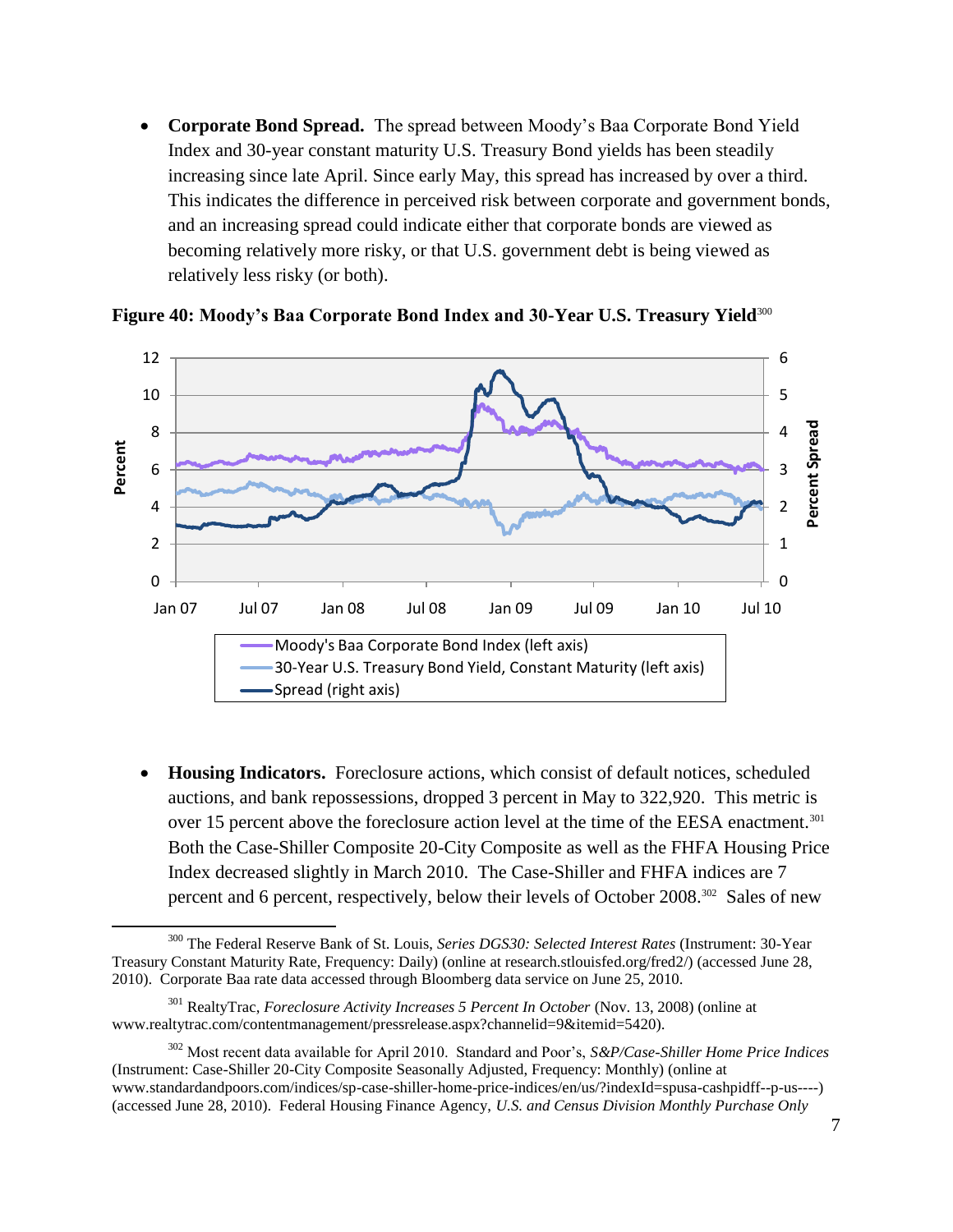**Corporate Bond Spread.** The spread between Moody's Baa Corporate Bond Yield Index and 30-year constant maturity U.S. Treasury Bond yields has been steadily increasing since late April. Since early May, this spread has increased by over a third. This indicates the difference in perceived risk between corporate and government bonds, and an increasing spread could indicate either that corporate bonds are viewed as becoming relatively more risky, or that U.S. government debt is being viewed as relatively less risky (or both).



**Figure 40: Moody's Baa Corporate Bond Index and 30-Year U.S. Treasury Yield**<sup>300</sup>

<span id="page-7-0"></span> **Housing Indicators.** Foreclosure actions, which consist of default notices, scheduled auctions, and bank repossessions, dropped 3 percent in May to 322,920. This metric is over 15 percent above the foreclosure action level at the time of the EESA enactment.<sup>301</sup> Both the Case-Shiller Composite 20-City Composite as well as the FHFA Housing Price Index decreased slightly in March 2010. The Case-Shiller and FHFA indices are 7 percent and 6 percent, respectively, below their levels of October 2008.<sup>302</sup> Sales of new

 $\overline{\phantom{a}}$ 

<sup>300</sup> The Federal Reserve Bank of St. Louis, *Series DGS30: Selected Interest Rates* (Instrument: 30-Year Treasury Constant Maturity Rate, Frequency: Daily) (online at research.stlouisfed.org/fred2/) (accessed June 28, 2010). Corporate Baa rate data accessed through Bloomberg data service on June 25, 2010.

<sup>301</sup> RealtyTrac, *Foreclosure Activity Increases 5 Percent In October* (Nov. 13, 2008) (online at www.realtytrac.com/contentmanagement/pressrelease.aspx?channelid=9&itemid=5420).

<sup>302</sup> Most recent data available for April 2010. Standard and Poor's, *S&P/Case-Shiller Home Price Indices* (Instrument: Case-Shiller 20-City Composite Seasonally Adjusted, Frequency: Monthly) (online at www.standardandpoors.com/indices/sp-case-shiller-home-price-indices/en/us/?indexId=spusa-cashpidff--p-us----) (accessed June 28, 2010). Federal Housing Finance Agency, *U.S. and Census Division Monthly Purchase Only*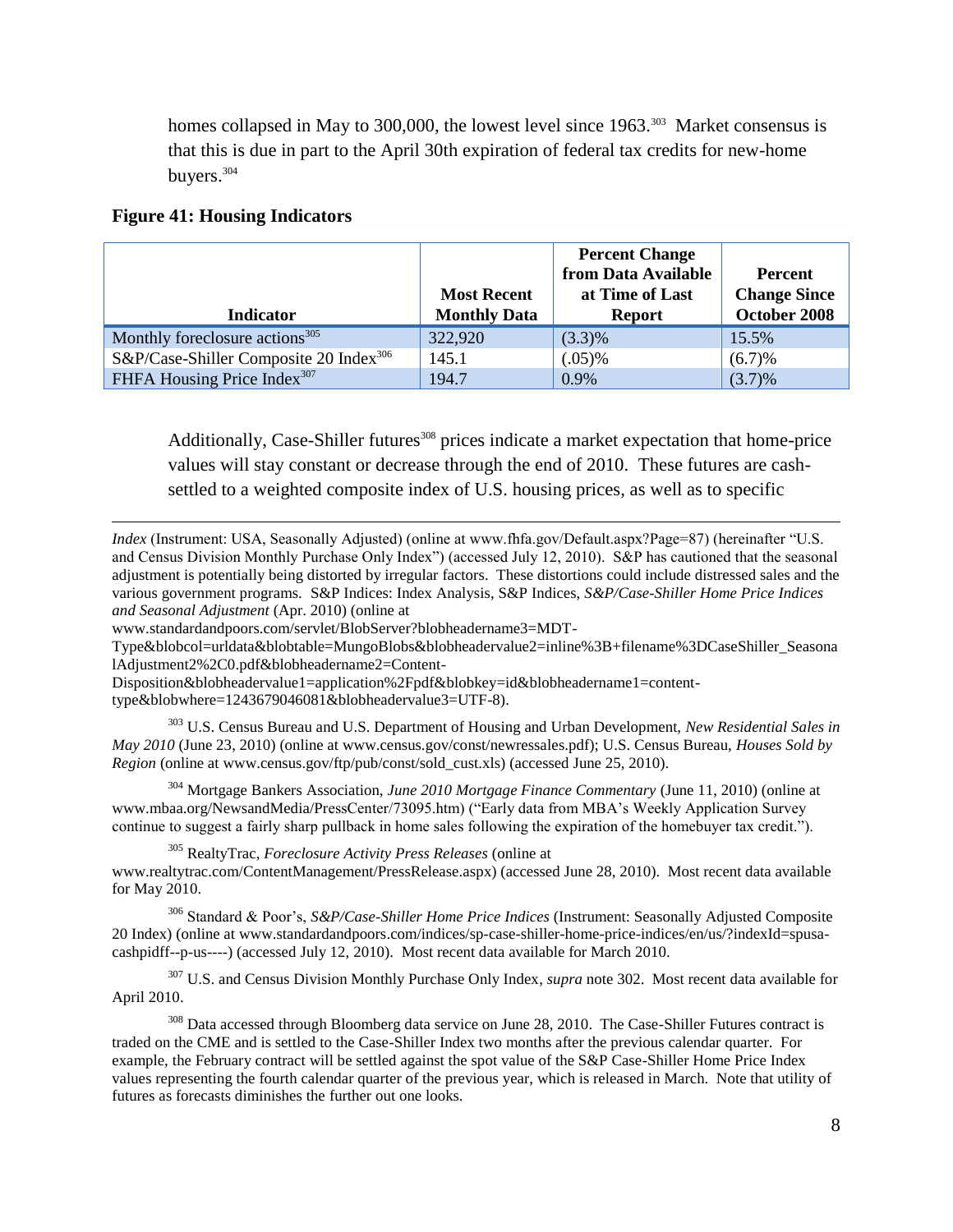homes collapsed in May to 300,000, the lowest level since 1963.<sup>303</sup> Market consensus is that this is due in part to the April 30th expiration of federal tax credits for new-home buyers.<sup>304</sup>

#### **Figure 41: Housing Indicators**

l

| <b>Indicator</b>                                   | <b>Most Recent</b><br><b>Monthly Data</b> | <b>Percent Change</b><br>from Data Available<br>at Time of Last<br><b>Report</b> | <b>Percent</b><br><b>Change Since</b><br>October 2008 |
|----------------------------------------------------|-------------------------------------------|----------------------------------------------------------------------------------|-------------------------------------------------------|
|                                                    |                                           |                                                                                  |                                                       |
| Monthly foreclosure actions <sup>305</sup>         | 322,920                                   | $(3.3)\%$                                                                        | 15.5%                                                 |
| S&P/Case-Shiller Composite 20 Index <sup>306</sup> | 145.1                                     | $(.05)\%$                                                                        | (6.7)%                                                |
| FHFA Housing Price Index <sup>307</sup>            | 194.7                                     | 0.9%                                                                             | $(3.7)\%$                                             |

<span id="page-8-0"></span>Additionally, Case-Shiller futures<sup>308</sup> prices indicate a market expectation that home-price values will stay constant or decrease through the end of 2010. These futures are cashsettled to a weighted composite index of U.S. housing prices, as well as to specific

*Index* (Instrument: USA, Seasonally Adjusted) (online at www.fhfa.gov/Default.aspx?Page=87) (hereinafter "U.S. and Census Division Monthly Purchase Only Index") (accessed July 12, 2010). S&P has cautioned that the seasonal adjustment is potentially being distorted by irregular factors. These distortions could include distressed sales and the various government programs. S&P Indices: Index Analysis, S&P Indices, *S&P/Case-Shiller Home Price Indices and Seasonal Adjustment* (Apr. 2010) (online at

www.standardandpoors.com/servlet/BlobServer?blobheadername3=MDT-

Type&blobcol=urldata&blobtable=MungoBlobs&blobheadervalue2=inline%3B+filename%3DCaseShiller\_Seasona lAdjustment2%2C0.pdf&blobheadername2=Content-

Disposition&blobheadervalue1=application%2Fpdf&blobkey=id&blobheadername1=content-

type&blobwhere=1243679046081&blobheadervalue3=UTF-8).

<sup>303</sup> U.S. Census Bureau and U.S. Department of Housing and Urban Development, *New Residential Sales in May 2010* (June 23, 2010) (online at www.census.gov/const/newressales.pdf); U.S. Census Bureau, *Houses Sold by Region* (online at www.census.gov/ftp/pub/const/sold\_cust.xls) (accessed June 25, 2010).

<sup>304</sup> Mortgage Bankers Association, *June 2010 Mortgage Finance Commentary* (June 11, 2010) (online at www.mbaa.org/NewsandMedia/PressCenter/73095.htm) ("Early data from MBA's Weekly Application Survey continue to suggest a fairly sharp pullback in home sales following the expiration of the homebuyer tax credit.").

<sup>305</sup> RealtyTrac, *Foreclosure Activity Press Releases* (online at www.realtytrac.com/ContentManagement/PressRelease.aspx) (accessed June 28, 2010). Most recent data available for May 2010.

<sup>306</sup> Standard & Poor's, *S&P/Case-Shiller Home Price Indices* (Instrument: Seasonally Adjusted Composite 20 Index) (online at www.standardandpoors.com/indices/sp-case-shiller-home-price-indices/en/us/?indexId=spusacashpidff--p-us----) (accessed July 12, 2010). Most recent data available for March 2010.

<sup>307</sup> [U.S. and Census Division Monthly Purchase Only Index,](#page-8-0) *supra* not[e 302.](#page-7-0) Most recent data available for April 2010.

<sup>308</sup> Data accessed through Bloomberg data service on June 28, 2010. The Case-Shiller Futures contract is traded on the CME and is settled to the Case-Shiller Index two months after the previous calendar quarter. For example, the February contract will be settled against the spot value of the S&P Case-Shiller Home Price Index values representing the fourth calendar quarter of the previous year, which is released in March. Note that utility of futures as forecasts diminishes the further out one looks.